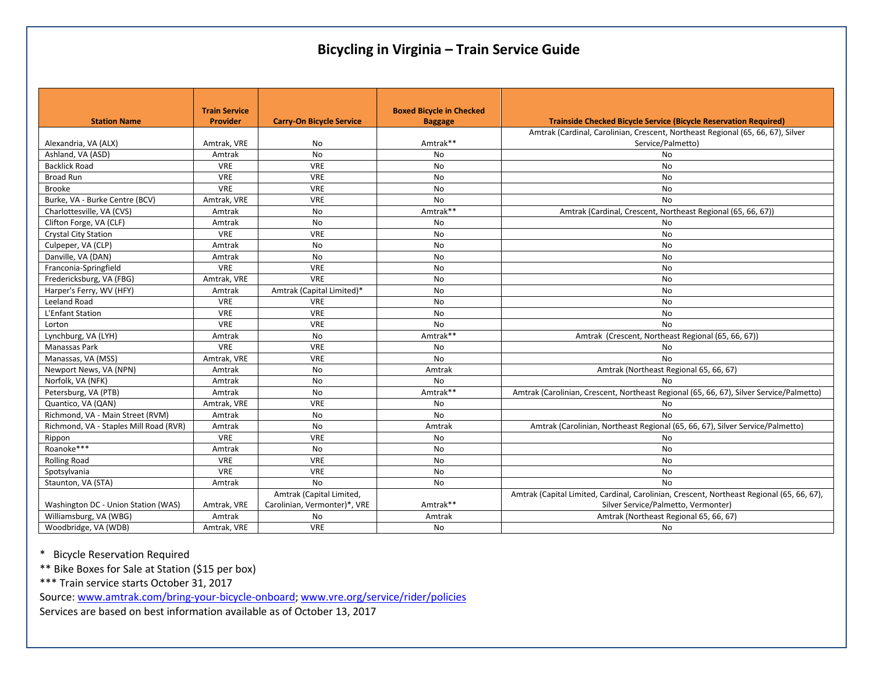# **Bicycling in Virginia – Train Service Guide**

|                                        | <b>Train Service</b> |                                 | <b>Boxed Bicycle in Checked</b> |                                                                                           |
|----------------------------------------|----------------------|---------------------------------|---------------------------------|-------------------------------------------------------------------------------------------|
| <b>Station Name</b>                    | <b>Provider</b>      | <b>Carry-On Bicycle Service</b> | <b>Baggage</b>                  | Trainside Checked Bicycle Service (Bicycle Reservation Required)                          |
|                                        |                      |                                 |                                 | Amtrak (Cardinal, Carolinian, Crescent, Northeast Regional (65, 66, 67), Silver           |
| Alexandria, VA (ALX)                   | Amtrak, VRE          | No.                             | Amtrak**                        | Service/Palmetto)                                                                         |
| Ashland, VA (ASD)                      | Amtrak               | <b>No</b>                       | <b>No</b>                       | No                                                                                        |
| <b>Backlick Road</b>                   | <b>VRE</b>           | VRE                             | <b>No</b>                       | No                                                                                        |
| Broad Run                              | <b>VRE</b>           | <b>VRE</b>                      | No                              | <b>No</b>                                                                                 |
| <b>Brooke</b>                          | <b>VRE</b>           | VRE                             | No                              | <b>No</b>                                                                                 |
| Burke, VA - Burke Centre (BCV)         | Amtrak, VRE          | <b>VRE</b>                      | <b>No</b>                       | <b>No</b>                                                                                 |
| Charlottesville, VA (CVS)              | Amtrak               | No                              | Amtrak**                        | Amtrak (Cardinal, Crescent, Northeast Regional (65, 66, 67))                              |
| Clifton Forge, VA (CLF)                | Amtrak               | No                              | No                              | No                                                                                        |
| <b>Crystal City Station</b>            | <b>VRE</b>           | VRE                             | No                              | <b>No</b>                                                                                 |
| Culpeper, VA (CLP)                     | Amtrak               | No                              | No                              | No                                                                                        |
| Danville, VA (DAN)                     | Amtrak               | No                              | No                              | No                                                                                        |
| Franconia-Springfield                  | <b>VRE</b>           | <b>VRE</b>                      | <b>No</b>                       | No                                                                                        |
| Fredericksburg, VA (FBG)               | Amtrak, VRE          | VRE                             | No                              | No                                                                                        |
| Harper's Ferry, WV (HFY)               | Amtrak               | Amtrak (Capital Limited)*       | No                              | No                                                                                        |
| Leeland Road                           | <b>VRE</b>           | <b>VRE</b>                      | No                              | <b>No</b>                                                                                 |
| L'Enfant Station                       | VRE                  | VRE                             | No                              | No                                                                                        |
| Lorton                                 | <b>VRE</b>           | VRE                             | <b>No</b>                       | <b>No</b>                                                                                 |
| Lynchburg, VA (LYH)                    | Amtrak               | No                              | Amtrak**                        | Amtrak (Crescent, Northeast Regional (65, 66, 67))                                        |
| Manassas Park                          | <b>VRE</b>           | <b>VRE</b>                      | No                              | <b>No</b>                                                                                 |
| Manassas, VA (MSS)                     | Amtrak, VRE          | <b>VRE</b>                      | <b>No</b>                       | <b>No</b>                                                                                 |
| Newport News, VA (NPN)                 | Amtrak               | No                              | Amtrak                          | Amtrak (Northeast Regional 65, 66, 67)                                                    |
| Norfolk, VA (NFK)                      | Amtrak               | No                              | No                              | <b>No</b>                                                                                 |
| Petersburg, VA (PTB)                   | Amtrak               | <b>No</b>                       | Amtrak**                        | Amtrak (Carolinian, Crescent, Northeast Regional (65, 66, 67), Silver Service/Palmetto)   |
| Quantico, VA (QAN)                     | Amtrak, VRE          | <b>VRE</b>                      | No                              | <b>No</b>                                                                                 |
| Richmond, VA - Main Street (RVM)       | Amtrak               | <b>No</b>                       | <b>No</b>                       | <b>No</b>                                                                                 |
| Richmond, VA - Staples Mill Road (RVR) | Amtrak               | No                              | Amtrak                          | Amtrak (Carolinian, Northeast Regional (65, 66, 67), Silver Service/Palmetto)             |
| Rippon                                 | <b>VRE</b>           | <b>VRE</b>                      | <b>No</b>                       | No                                                                                        |
| Roanoke***                             | Amtrak               | No                              | <b>No</b>                       | <b>No</b>                                                                                 |
| <b>Rolling Road</b>                    | <b>VRE</b>           | <b>VRE</b>                      | <b>No</b>                       | No                                                                                        |
| Spotsylvania                           | VRE                  | <b>VRE</b>                      | No                              | <b>No</b>                                                                                 |
| Staunton, VA (STA)                     | Amtrak               | <b>No</b>                       | No                              | <b>No</b>                                                                                 |
|                                        |                      | Amtrak (Capital Limited,        |                                 | Amtrak (Capital Limited, Cardinal, Carolinian, Crescent, Northeast Regional (65, 66, 67), |
| Washington DC - Union Station (WAS)    | Amtrak, VRE          | Carolinian, Vermonter)*, VRE    | Amtrak**                        | Silver Service/Palmetto, Vermonter)                                                       |
| Williamsburg, VA (WBG)                 | Amtrak               | No                              | Amtrak                          | Amtrak (Northeast Regional 65, 66, 67)                                                    |
| Woodbridge, VA (WDB)                   | Amtrak, VRE          | <b>VRE</b>                      | No                              | No                                                                                        |

\* Bicycle Reservation Required

\*\* Bike Boxes for Sale at Station (\$15 per box)

\*\*\* Train service starts October 31, 2017

Source[: www.amtrak.com/bring-your-bicycle-onboard;](http://www.amtrak.com/bring-your-bicycle-onboard) [www.vre.org/service/rider/policies](http://www.vre.org/service/rider/policies)

Services are based on best information available as of October 13, 2017